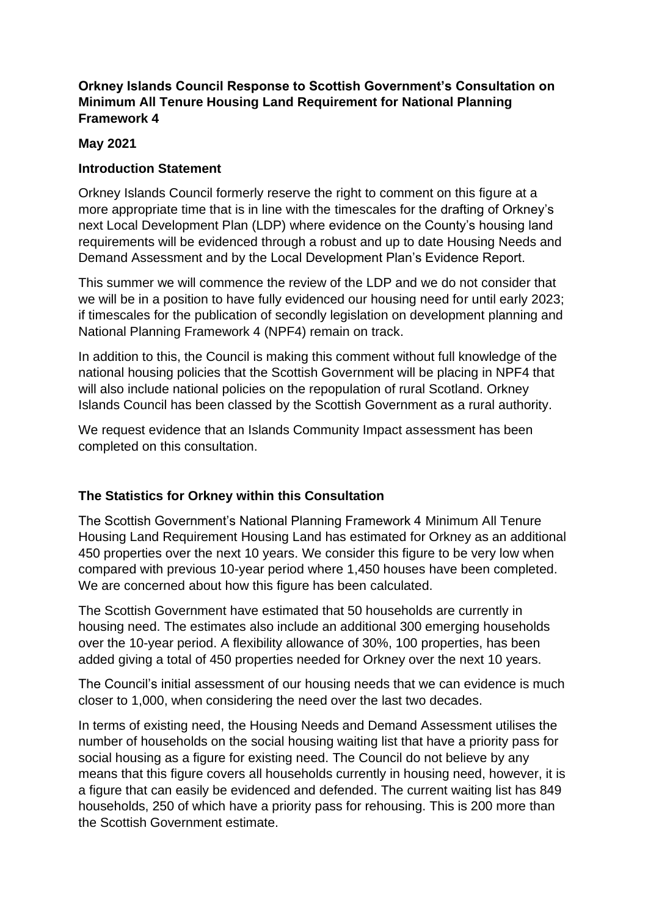# **Orkney Islands Council Response to Scottish Government's Consultation on Minimum All Tenure Housing Land Requirement for National Planning Framework 4**

### **May 2021**

### **Introduction Statement**

Orkney Islands Council formerly reserve the right to comment on this figure at a more appropriate time that is in line with the timescales for the drafting of Orkney's next Local Development Plan (LDP) where evidence on the County's housing land requirements will be evidenced through a robust and up to date Housing Needs and Demand Assessment and by the Local Development Plan's Evidence Report.

This summer we will commence the review of the LDP and we do not consider that we will be in a position to have fully evidenced our housing need for until early 2023; if timescales for the publication of secondly legislation on development planning and National Planning Framework 4 (NPF4) remain on track.

In addition to this, the Council is making this comment without full knowledge of the national housing policies that the Scottish Government will be placing in NPF4 that will also include national policies on the repopulation of rural Scotland. Orkney Islands Council has been classed by the Scottish Government as a rural authority.

We request evidence that an Islands Community Impact assessment has been completed on this consultation.

## **The Statistics for Orkney within this Consultation**

The Scottish Government's National Planning Framework 4 Minimum All Tenure Housing Land Requirement Housing Land has estimated for Orkney as an additional 450 properties over the next 10 years. We consider this figure to be very low when compared with previous 10-year period where 1,450 houses have been completed. We are concerned about how this figure has been calculated.

The Scottish Government have estimated that 50 households are currently in housing need. The estimates also include an additional 300 emerging households over the 10-year period. A flexibility allowance of 30%, 100 properties, has been added giving a total of 450 properties needed for Orkney over the next 10 years.

The Council's initial assessment of our housing needs that we can evidence is much closer to 1,000, when considering the need over the last two decades.

In terms of existing need, the Housing Needs and Demand Assessment utilises the number of households on the social housing waiting list that have a priority pass for social housing as a figure for existing need. The Council do not believe by any means that this figure covers all households currently in housing need, however, it is a figure that can easily be evidenced and defended. The current waiting list has 849 households, 250 of which have a priority pass for rehousing. This is 200 more than the Scottish Government estimate.